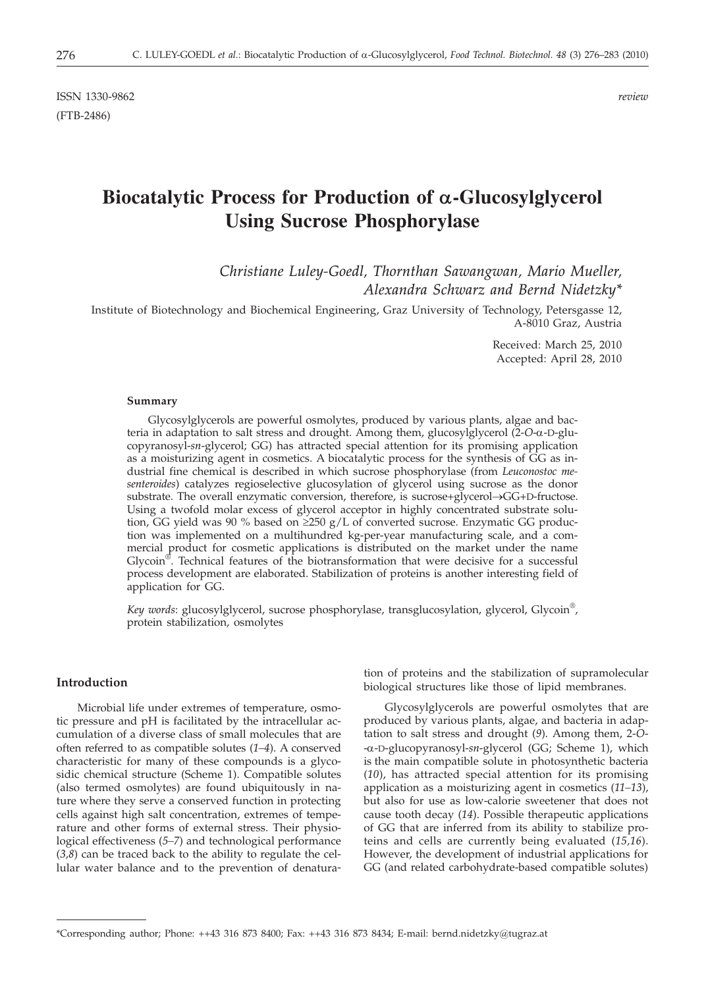ISSN 1330-9862 *review* (FTB-2486)

# **Biocatalytic Process for Production of a-Glucosylglycerol Using Sucrose Phosphorylase**

# *Christiane Luley-Goedl, Thornthan Sawangwan, Mario Mueller, Alexandra Schwarz and Bernd Nidetzky\**

Institute of Biotechnology and Biochemical Engineering, Graz University of Technology, Petersgasse 12, A-8010 Graz, Austria

> Received: March 25, 2010 Accepted: April 28, 2010

#### **Summary**

Glycosylglycerols are powerful osmolytes, produced by various plants, algae and bacteria in adaptation to salt stress and drought. Among them, glucosylglycerol (2-*O*-a-D-glucopyranosyl-*sn*-glycerol; GG) has attracted special attention for its promising application as a moisturizing agent in cosmetics. A biocatalytic process for the synthesis of GG as industrial fine chemical is described in which sucrose phosphorylase (from *Leuconostoc mesenteroides*) catalyzes regioselective glucosylation of glycerol using sucrose as the donor substrate. The overall enzymatic conversion, therefore, is sucrose+glycerol→GG+D-fructose. Using a twofold molar excess of glycerol acceptor in highly concentrated substrate solution, GG yield was 90 % based on  $\geq$ 250 g/L of converted sucrose. Enzymatic GG production was implemented on a multihundred kg-per-year manufacturing scale, and a commercial product for cosmetic applications is distributed on the market under the name Glycoin<sup>®</sup>. Technical features of the biotransformation that were decisive for a successful process development are elaborated. Stabilization of proteins is another interesting field of application for GG.

*Key words*: glucosylglycerol, sucrose phosphorylase, transglucosylation, glycerol, Glycoin®, protein stabilization, osmolytes

## **Introduction**

Microbial life under extremes of temperature, osmotic pressure and pH is facilitated by the intracellular accumulation of a diverse class of small molecules that are often referred to as compatible solutes (*1–4*). A conserved characteristic for many of these compounds is a glycosidic chemical structure (Scheme 1). Compatible solutes (also termed osmolytes) are found ubiquitously in nature where they serve a conserved function in protecting cells against high salt concentration, extremes of temperature and other forms of external stress. Their physiological effectiveness (*5–7*) and technological performance (*3,8*) can be traced back to the ability to regulate the cellular water balance and to the prevention of denatura-

tion of proteins and the stabilization of supramolecular biological structures like those of lipid membranes.

Glycosylglycerols are powerful osmolytes that are produced by various plants, algae, and bacteria in adaptation to salt stress and drought (*9*). Among them, 2-*O*- -a-D-glucopyranosyl-*sn*-glycerol (GG; Scheme 1), which is the main compatible solute in photosynthetic bacteria (*10*), has attracted special attention for its promising application as a moisturizing agent in cosmetics (*11–13*), but also for use as low-calorie sweetener that does not cause tooth decay (*14*). Possible therapeutic applications of GG that are inferred from its ability to stabilize proteins and cells are currently being evaluated (*15,16*). However, the development of industrial applications for GG (and related carbohydrate-based compatible solutes)

<sup>\*</sup>Corresponding author; Phone: ++43 316 873 8400; Fax: ++43 316 873 8434; E-mail: bernd.nidetzky@tugraz.at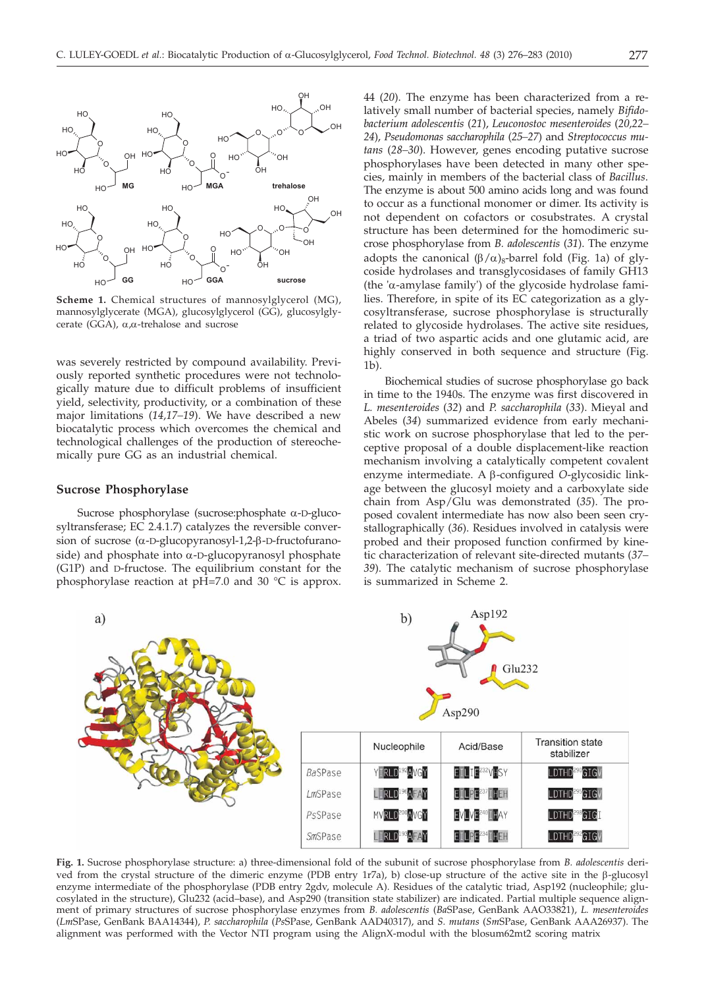

**Scheme 1.** Chemical structures of mannosylglycerol (MG), mannosylglycerate (MGA), glucosylglycerol (GG), glucosylglycerate (GGA),  $\alpha, \alpha$ -trehalose and sucrose

was severely restricted by compound availability. Previously reported synthetic procedures were not technologically mature due to difficult problems of insufficient yield, selectivity, productivity, or a combination of these major limitations (*14,17–19*). We have described a new biocatalytic process which overcomes the chemical and technological challenges of the production of stereochemically pure GG as an industrial chemical.

#### **Sucrose Phosphorylase**

Sucrose phosphorylase (sucrose: phosphate  $\alpha$ -D-glucosyltransferase; EC 2.4.1.7) catalyzes the reversible conversion of sucrose  $(\alpha$ -D-glucopyranosyl-1,2- $\beta$ -D-fructofuranoside) and phosphate into  $\alpha$ -D-glucopyranosyl phosphate (G1P) and D-fructose. The equilibrium constant for the phosphorylase reaction at pH=7.0 and 30 °C is approx.

44 (*20*). The enzyme has been characterized from a relatively small number of bacterial species, namely *Bifidobacterium adolescentis* (*21*), *Leuconostoc mesenteroides* (*20,22– 24*), *Pseudomonas saccharophila* (*25–27*) and *Streptococcus mutans* (*28–30*). However, genes encoding putative sucrose phosphorylases have been detected in many other species, mainly in members of the bacterial class of *Bacillus*. The enzyme is about 500 amino acids long and was found to occur as a functional monomer or dimer. Its activity is not dependent on cofactors or cosubstrates. A crystal structure has been determined for the homodimeric sucrose phosphorylase from *B. adolescentis* (*31*). The enzyme adopts the canonical  $(\beta/\alpha)_8$ -barrel fold (Fig. 1a) of glycoside hydrolases and transglycosidases of family GH13 (the 'a-amylase family') of the glycoside hydrolase families. Therefore, in spite of its EC categorization as a glycosyltransferase, sucrose phosphorylase is structurally related to glycoside hydrolases. The active site residues, a triad of two aspartic acids and one glutamic acid, are highly conserved in both sequence and structure (Fig. 1b).

Biochemical studies of sucrose phosphorylase go back in time to the 1940s. The enzyme was first discovered in *L. mesenteroides* (*32*) and *P. saccharophila* (*33*). Mieyal and Abeles (*34*) summarized evidence from early mechanistic work on sucrose phosphorylase that led to the perceptive proposal of a double displacement-like reaction mechanism involving a catalytically competent covalent enzyme intermediate. A b-configured *<sup>O</sup>*-glycosidic linkage between the glucosyl moiety and a carboxylate side chain from Asp/Glu was demonstrated (*35*). The proposed covalent intermediate has now also been seen crystallographically (*36*). Residues involved in catalysis were probed and their proposed function confirmed by kinetic characterization of relevant site-directed mutants (*37– 39*). The catalytic mechanism of sucrose phosphorylase is summarized in Scheme 2.



**Fig. 1.** Sucrose phosphorylase structure: a) three-dimensional fold of the subunit of sucrose phosphorylase from *B. adolescentis* derived from the crystal structure of the dimeric enzyme (PDB entry 1r7a), b) close-up structure of the active site in the  $\beta$ -glucosyl enzyme intermediate of the phosphorylase (PDB entry 2gdv, molecule A). Residues of the catalytic triad, Asp192 (nucleophile; glucosylated in the structure), Glu232 (acid–base), and Asp290 (transition state stabilizer) are indicated. Partial multiple sequence alignment of primary structures of sucrose phosphorylase enzymes from *B. adolescentis* (*Ba*SPase, GenBank AAO33821), *L. mesenteroides* (*Lm*SPase, GenBank BAA14344), *P. saccharophila* (*Ps*SPase, GenBank AAD40317), and *S. mutans* (*Sm*SPase, GenBank AAA26937). The alignment was performed with the Vector NTI program using the AlignX-modul with the blosum62mt2 scoring matrix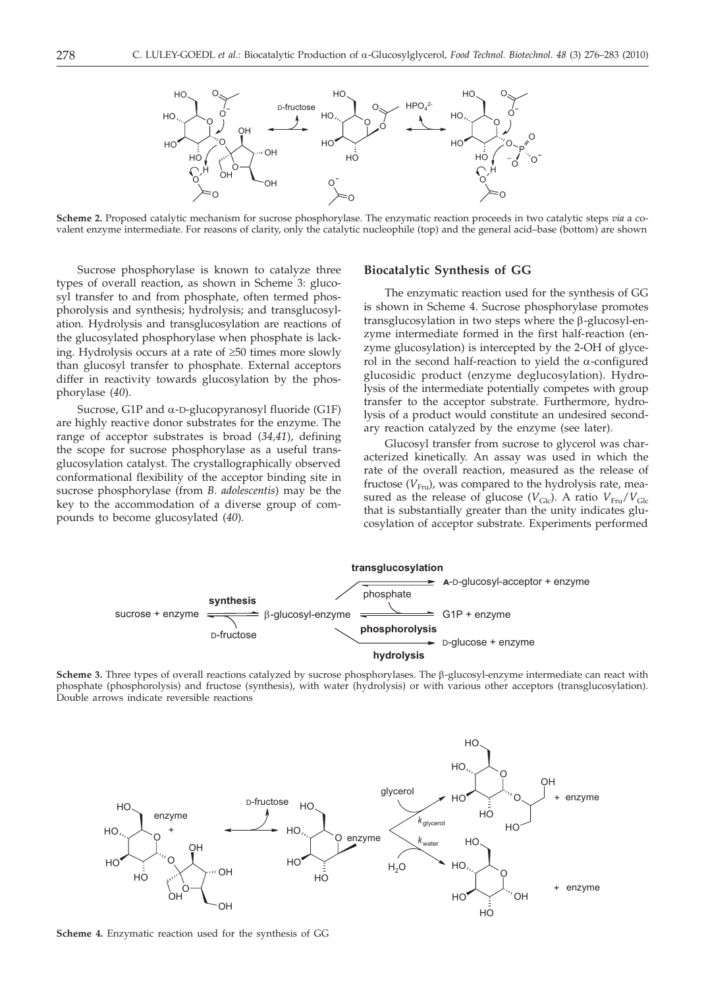

**Scheme 2.** Proposed catalytic mechanism for sucrose phosphorylase. The enzymatic reaction proceeds in two catalytic steps *via* a covalent enzyme intermediate. For reasons of clarity, only the catalytic nucleophile (top) and the general acid–base (bottom) are shown

Sucrose phosphorylase is known to catalyze three types of overall reaction, as shown in Scheme 3: glucosyl transfer to and from phosphate, often termed phosphorolysis and synthesis; hydrolysis; and transglucosylation. Hydrolysis and transglucosylation are reactions of the glucosylated phosphorylase when phosphate is lacking. Hydrolysis occurs at a rate of  $\geq 50$  times more slowly than glucosyl transfer to phosphate. External acceptors differ in reactivity towards glucosylation by the phosphorylase (*40*).

Sucrose, G1P and  $\alpha$ -D-glucopyranosyl fluoride (G1F) are highly reactive donor substrates for the enzyme. The range of acceptor substrates is broad (*34,41*), defining the scope for sucrose phosphorylase as a useful transglucosylation catalyst. The crystallographically observed conformational flexibility of the acceptor binding site in sucrose phosphorylase (from *B. adolescentis*) may be the key to the accommodation of a diverse group of compounds to become glucosylated (*40*).

#### **Biocatalytic Synthesis of GG**

The enzymatic reaction used for the synthesis of GG is shown in Scheme 4. Sucrose phosphorylase promotes  $transglucosylation$  in two steps where the  $\beta$ -glucosyl-enzyme intermediate formed in the first half-reaction (enzyme glucosylation) is intercepted by the 2-OH of glycerol in the second half-reaction to yield the  $\alpha$ -configured glucosidic product (enzyme deglucosylation). Hydrolysis of the intermediate potentially competes with group transfer to the acceptor substrate. Furthermore, hydrolysis of a product would constitute an undesired secondary reaction catalyzed by the enzyme (see later).

Glucosyl transfer from sucrose to glycerol was characterized kinetically. An assay was used in which the rate of the overall reaction, measured as the release of fructose  $(V_{\text{F}_{\text{ru}}})$ , was compared to the hydrolysis rate, measured as the release of glucose  $(V_{\text{Glc}})$ . A ratio  $V_{\text{Fru}}/V_{\text{Glc}}$ that is substantially greater than the unity indicates glucosylation of acceptor substrate. Experiments performed



**Scheme 3.** Three types of overall reactions catalyzed by sucrose phosphorylases. The β-glucosyl-enzyme intermediate can react with phosphate (phosphorolysis) and fructose (synthesis), with water (hydrolysis) or with various other acceptors (transglucosylation). Double arrows indicate reversible reactions



**Scheme 4.** Enzymatic reaction used for the synthesis of GG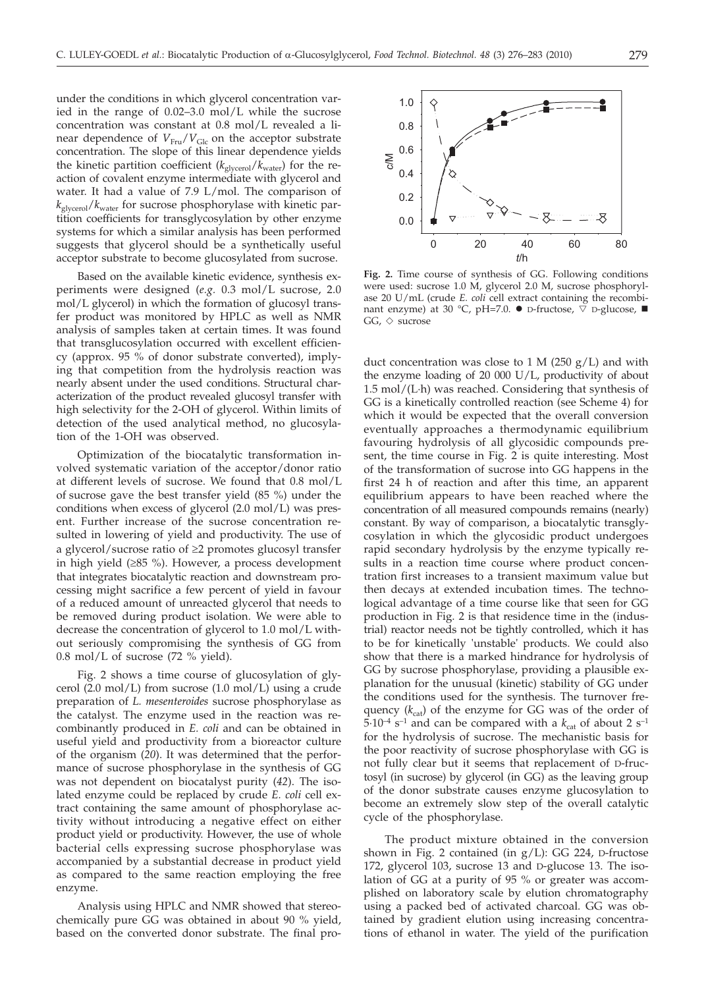under the conditions in which glycerol concentration varied in the range of 0.02–3.0 mol/L while the sucrose concentration was constant at 0.8 mol/L revealed a linear dependence of  $V_{\text{Fru}}/V_{\text{Glc}}$  on the acceptor substrate concentration. The slope of this linear dependence yields the kinetic partition coefficient ( $k_{\text{glycero}}/k_{\text{water}}$ ) for the reaction of covalent enzyme intermediate with glycerol and water. It had a value of 7.9 L/mol. The comparison of *k*glycerol/*k*water for sucrose phosphorylase with kinetic partition coefficients for transglycosylation by other enzyme systems for which a similar analysis has been performed suggests that glycerol should be a synthetically useful acceptor substrate to become glucosylated from sucrose.

Based on the available kinetic evidence, synthesis experiments were designed (*e.g.* 0.3 mol/L sucrose, 2.0 mol/L glycerol) in which the formation of glucosyl transfer product was monitored by HPLC as well as NMR analysis of samples taken at certain times. It was found that transglucosylation occurred with excellent efficiency (approx. 95 % of donor substrate converted), implying that competition from the hydrolysis reaction was nearly absent under the used conditions. Structural characterization of the product revealed glucosyl transfer with high selectivity for the 2-OH of glycerol. Within limits of detection of the used analytical method, no glucosylation of the 1-OH was observed.

Optimization of the biocatalytic transformation involved systematic variation of the acceptor/donor ratio at different levels of sucrose. We found that 0.8 mol/L of sucrose gave the best transfer yield (85 %) under the conditions when excess of glycerol (2.0 mol/L) was present. Further increase of the sucrose concentration resulted in lowering of yield and productivity. The use of a glycerol/sucrose ratio of  $\geq 2$  promotes glucosyl transfer in high yield  $(≥85 %)$ . However, a process development that integrates biocatalytic reaction and downstream processing might sacrifice a few percent of yield in favour of a reduced amount of unreacted glycerol that needs to be removed during product isolation. We were able to decrease the concentration of glycerol to 1.0 mol/L without seriously compromising the synthesis of GG from 0.8 mol/L of sucrose (72 % yield).

Fig. 2 shows a time course of glucosylation of glycerol (2.0 mol/L) from sucrose (1.0 mol/L) using a crude preparation of *L. mesenteroides* sucrose phosphorylase as the catalyst. The enzyme used in the reaction was recombinantly produced in *E. coli* and can be obtained in useful yield and productivity from a bioreactor culture of the organism (*20*). It was determined that the performance of sucrose phosphorylase in the synthesis of GG was not dependent on biocatalyst purity (*42*). The isolated enzyme could be replaced by crude *E. coli* cell extract containing the same amount of phosphorylase activity without introducing a negative effect on either product yield or productivity. However, the use of whole bacterial cells expressing sucrose phosphorylase was accompanied by a substantial decrease in product yield as compared to the same reaction employing the free enzyme.

Analysis using HPLC and NMR showed that stereochemically pure GG was obtained in about 90 % yield, based on the converted donor substrate. The final pro-



**Fig. 2.** Time course of synthesis of GG. Following conditions were used: sucrose 1.0 M, glycerol 2.0 M, sucrose phosphorylase 20 U/mL (crude *E. coli* cell extract containing the recombinant enzyme) at 30 °C, pH=7.0.  $\bullet$  D-fructose,  $\breve{\triangledown}$  D-glucose,  $\blacksquare$  $GG, \diamondsuit$  sucrose

duct concentration was close to 1 M (250  $g/L$ ) and with the enzyme loading of 20 000 U/L, productivity of about 1.5 mol/(L·h) was reached. Considering that synthesis of GG is a kinetically controlled reaction (see Scheme 4) for which it would be expected that the overall conversion eventually approaches a thermodynamic equilibrium favouring hydrolysis of all glycosidic compounds present, the time course in Fig. 2 is quite interesting. Most of the transformation of sucrose into GG happens in the first 24 h of reaction and after this time, an apparent equilibrium appears to have been reached where the concentration of all measured compounds remains (nearly) constant. By way of comparison, a biocatalytic transglycosylation in which the glycosidic product undergoes rapid secondary hydrolysis by the enzyme typically results in a reaction time course where product concentration first increases to a transient maximum value but then decays at extended incubation times. The technological advantage of a time course like that seen for GG production in Fig. 2 is that residence time in the (industrial) reactor needs not be tightly controlled, which it has to be for kinetically 'unstable' products. We could also show that there is a marked hindrance for hydrolysis of GG by sucrose phosphorylase, providing a plausible explanation for the unusual (kinetic) stability of GG under the conditions used for the synthesis. The turnover frequency  $(k_{cat})$  of the enzyme for GG was of the order of  $5.10^{-4}$  s<sup>-1</sup> and can be compared with a  $k_{\text{cat}}$  of about 2 s<sup>-1</sup> for the hydrolysis of sucrose. The mechanistic basis for the poor reactivity of sucrose phosphorylase with GG is not fully clear but it seems that replacement of D-fructosyl (in sucrose) by glycerol (in GG) as the leaving group of the donor substrate causes enzyme glucosylation to become an extremely slow step of the overall catalytic cycle of the phosphorylase.

The product mixture obtained in the conversion shown in Fig. 2 contained (in  $g/L$ ): GG 224, D-fructose 172, glycerol 103, sucrose 13 and D-glucose 13. The isolation of GG at a purity of 95 % or greater was accomplished on laboratory scale by elution chromatography using a packed bed of activated charcoal. GG was obtained by gradient elution using increasing concentrations of ethanol in water. The yield of the purification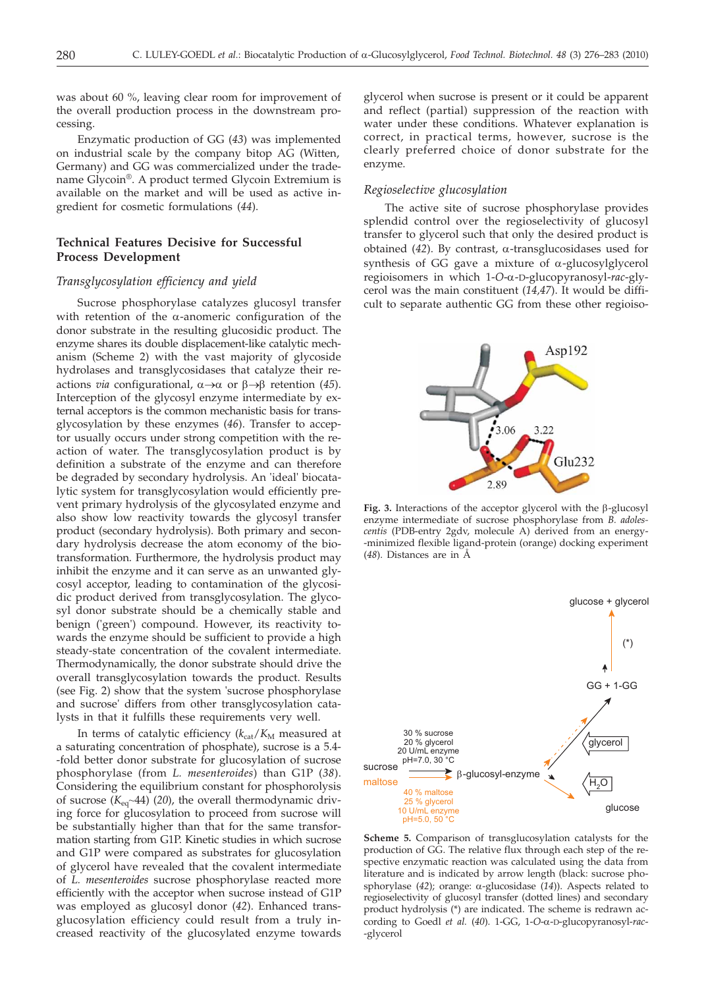was about 60 %, leaving clear room for improvement of the overall production process in the downstream processing.

Enzymatic production of GG (*43*) was implemented on industrial scale by the company bitop AG (Witten, Germany) and GG was commercialized under the tradename Glycoin®. A product termed Glycoin Extremium is available on the market and will be used as active ingredient for cosmetic formulations (*44*).

# **Technical Features Decisive for Successful Process Development**

#### *Transglycosylation efficiency and yield*

Sucrose phosphorylase catalyzes glucosyl transfer with retention of the  $\alpha$ -anomeric configuration of the donor substrate in the resulting glucosidic product. The enzyme shares its double displacement-like catalytic mechanism (Scheme 2) with the vast majority of glycoside hydrolases and transglycosidases that catalyze their reactions *via* configurational,  $\alpha \rightarrow \alpha$  or  $\beta \rightarrow \beta$  retention (45). Interception of the glycosyl enzyme intermediate by external acceptors is the common mechanistic basis for transglycosylation by these enzymes (*46*). Transfer to acceptor usually occurs under strong competition with the reaction of water. The transglycosylation product is by definition a substrate of the enzyme and can therefore be degraded by secondary hydrolysis. An 'ideal' biocatalytic system for transglycosylation would efficiently prevent primary hydrolysis of the glycosylated enzyme and also show low reactivity towards the glycosyl transfer product (secondary hydrolysis). Both primary and secondary hydrolysis decrease the atom economy of the biotransformation. Furthermore, the hydrolysis product may inhibit the enzyme and it can serve as an unwanted glycosyl acceptor, leading to contamination of the glycosidic product derived from transglycosylation. The glycosyl donor substrate should be a chemically stable and benign ('green') compound. However, its reactivity towards the enzyme should be sufficient to provide a high steady-state concentration of the covalent intermediate. Thermodynamically, the donor substrate should drive the overall transglycosylation towards the product. Results (see Fig. 2) show that the system 'sucrose phosphorylase and sucrose' differs from other transglycosylation catalysts in that it fulfills these requirements very well.

In terms of catalytic efficiency ( $k_{\text{cat}}/K_M$  measured at a saturating concentration of phosphate), sucrose is a 5.4- -fold better donor substrate for glucosylation of sucrose phosphorylase (from *L. mesenteroides*) than G1P (*38*). Considering the equilibrium constant for phosphorolysis of sucrose  $(K_{eq} \sim 44)$  (20), the overall thermodynamic driving force for glucosylation to proceed from sucrose will be substantially higher than that for the same transformation starting from G1P. Kinetic studies in which sucrose and G1P were compared as substrates for glucosylation of glycerol have revealed that the covalent intermediate of *L. mesenteroides* sucrose phosphorylase reacted more efficiently with the acceptor when sucrose instead of G1P was employed as glucosyl donor (*42*). Enhanced transglucosylation efficiency could result from a truly increased reactivity of the glucosylated enzyme towards

glycerol when sucrose is present or it could be apparent and reflect (partial) suppression of the reaction with water under these conditions. Whatever explanation is correct, in practical terms, however, sucrose is the clearly preferred choice of donor substrate for the enzyme.

#### *Regioselective glucosylation*

The active site of sucrose phosphorylase provides splendid control over the regioselectivity of glucosyl transfer to glycerol such that only the desired product is obtained  $(42)$ . By contrast,  $\alpha$ -transglucosidases used for synthesis of GG gave a mixture of  $\alpha$ -glucosylglycerol regioisomers in which 1-*O*-a-D-glucopyranosyl-*rac*-glycerol was the main constituent (*14,47*). It would be difficult to separate authentic GG from these other regioiso-



Fig. 3. Interactions of the acceptor glycerol with the  $\beta$ -glucosyl enzyme intermediate of sucrose phosphorylase from *B. adolescentis* (PDB-entry 2gdv, molecule A) derived from an energy- -minimized flexible ligand-protein (orange) docking experiment (*48*). Distances are in Å



**Scheme 5.** Comparison of transglucosylation catalysts for the production of GG. The relative flux through each step of the respective enzymatic reaction was calculated using the data from literature and is indicated by arrow length (black: sucrose phosphorylase (*42*); orange: a-glucosidase (*14*)). Aspects related to regioselectivity of glucosyl transfer (dotted lines) and secondary product hydrolysis (\*) are indicated. The scheme is redrawn according to Goedl *et al.* (*40*). 1-GG, 1-*O*-a-D-glucopyranosyl-*rac*- -glycerol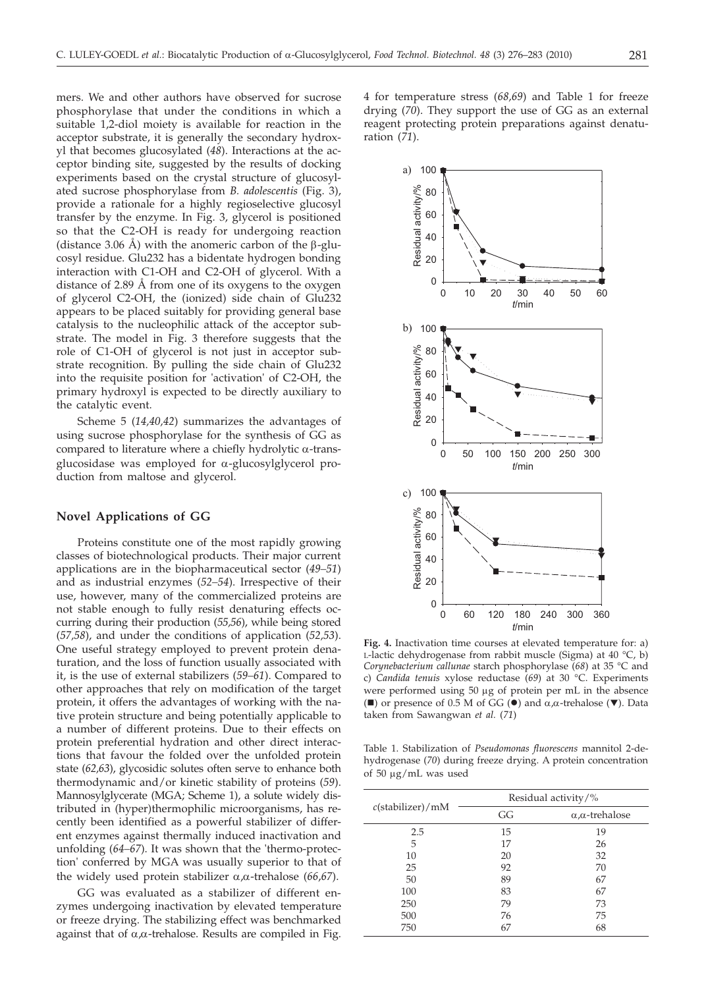mers. We and other authors have observed for sucrose phosphorylase that under the conditions in which a suitable 1,2-diol moiety is available for reaction in the acceptor substrate, it is generally the secondary hydroxyl that becomes glucosylated (*48*). Interactions at the acceptor binding site, suggested by the results of docking experiments based on the crystal structure of glucosylated sucrose phosphorylase from *B. adolescentis* (Fig. 3), provide a rationale for a highly regioselective glucosyl transfer by the enzyme. In Fig. 3, glycerol is positioned so that the C2-OH is ready for undergoing reaction (distance 3.06 Å) with the anomeric carbon of the  $\beta$ -glucosyl residue. Glu232 has a bidentate hydrogen bonding interaction with C1-OH and C2-OH of glycerol. With a distance of 2.89 Å from one of its oxygens to the oxygen of glycerol C2-OH, the (ionized) side chain of Glu232 appears to be placed suitably for providing general base catalysis to the nucleophilic attack of the acceptor substrate. The model in Fig. 3 therefore suggests that the role of C1-OH of glycerol is not just in acceptor substrate recognition. By pulling the side chain of Glu232 into the requisite position for 'activation' of C2-OH, the primary hydroxyl is expected to be directly auxiliary to the catalytic event.

Scheme 5 (*14,40,42*) summarizes the advantages of using sucrose phosphorylase for the synthesis of GG as compared to literature where a chiefly hydrolytic  $\alpha$ -transglucosidase was employed for  $\alpha$ -glucosylglycerol production from maltose and glycerol.

## **Novel Applications of GG**

Proteins constitute one of the most rapidly growing classes of biotechnological products. Their major current applications are in the biopharmaceutical sector (*49–51*) and as industrial enzymes (*52–54*). Irrespective of their use, however, many of the commercialized proteins are not stable enough to fully resist denaturing effects occurring during their production (*55,56*), while being stored (*57,58*), and under the conditions of application (*52,53*). One useful strategy employed to prevent protein denaturation, and the loss of function usually associated with it, is the use of external stabilizers (*59–61*). Compared to other approaches that rely on modification of the target protein, it offers the advantages of working with the native protein structure and being potentially applicable to a number of different proteins. Due to their effects on protein preferential hydration and other direct interactions that favour the folded over the unfolded protein state (*62,63*), glycosidic solutes often serve to enhance both thermodynamic and/or kinetic stability of proteins (*59*). Mannosylglycerate (MGA; Scheme 1), a solute widely distributed in (hyper)thermophilic microorganisms, has recently been identified as a powerful stabilizer of different enzymes against thermally induced inactivation and unfolding (*64–67*). It was shown that the 'thermo-protection' conferred by MGA was usually superior to that of the widely used protein stabilizer  $\alpha$ , $\alpha$ -trehalose (66,67).

GG was evaluated as a stabilizer of different enzymes undergoing inactivation by elevated temperature or freeze drying. The stabilizing effect was benchmarked against that of  $\alpha, \alpha$ -trehalose. Results are compiled in Fig.

4 for temperature stress (*68,69*) and Table 1 for freeze drying (*70*). They support the use of GG as an external reagent protecting protein preparations against denaturation (*71*).

> *t*/min 0 10 20 30 40 50 60

0 50 100 150 200 250 300

*t*/min

b) 100

Residual activity/%



Table 1. Stabilization of *Pseudomonas fluorescens* mannitol 2-dehydrogenase (*70*) during freeze drying. A protein concentration of 50  $\mu$ g/mL was used

| $c$ (stabilizer)/mM | Residual activity/% |                                |
|---------------------|---------------------|--------------------------------|
|                     | GG                  | $\alpha$ , $\alpha$ -trehalose |
| 2.5                 | 15                  | 19                             |
| 5                   | 17                  | 26                             |
| 10                  | 20                  | 32                             |
| 25                  | 92                  | 70                             |
| 50                  | 89                  | 67                             |
| 100                 | 83                  | 67                             |
| 250                 | 79                  | 73                             |
| 500                 | 76                  | 75                             |
| 750                 | 67                  | 68                             |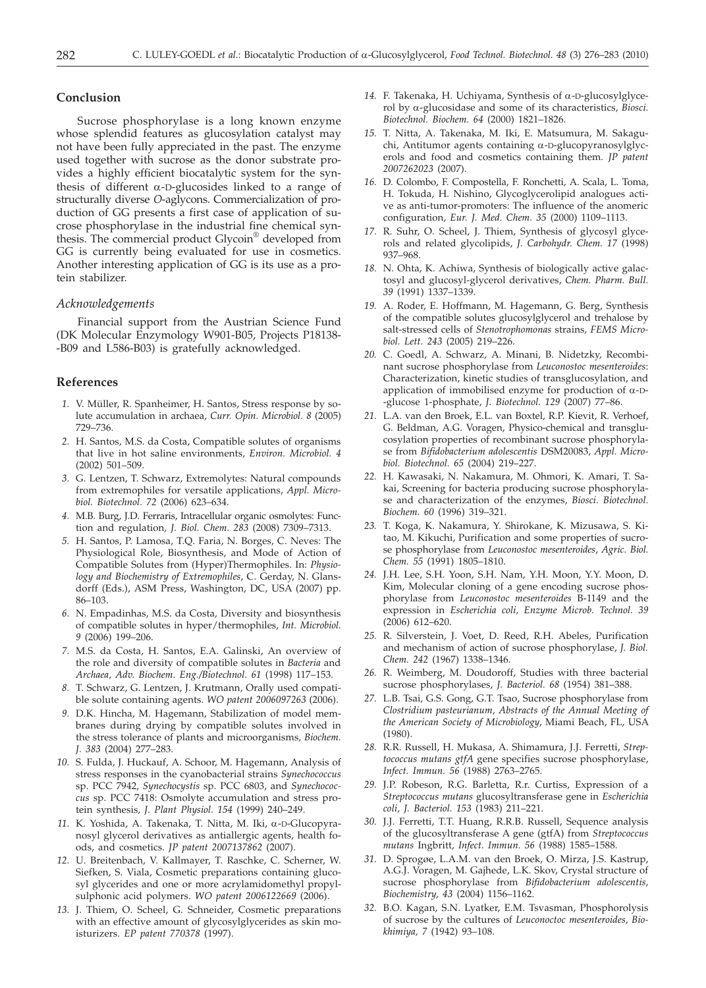#### **Conclusion**

Sucrose phosphorylase is a long known enzyme whose splendid features as glucosylation catalyst may not have been fully appreciated in the past. The enzyme used together with sucrose as the donor substrate provides a highly efficient biocatalytic system for the synthesis of different  $\alpha$ -D-glucosides linked to a range of structurally diverse *O*-aglycons. Commercialization of production of GG presents a first case of application of sucrose phosphorylase in the industrial fine chemical synthesis. The commercial product Glycoin® developed from GG is currently being evaluated for use in cosmetics. Another interesting application of GG is its use as a protein stabilizer.

#### *Acknowledgements*

Financial support from the Austrian Science Fund (DK Molecular Enzymology W901-B05, Projects P18138- -B09 and L586-B03) is gratefully acknowledged.

#### **References**

- *1.* V. Müller, R. Spanheimer, H. Santos, Stress response by solute accumulation in archaea, *Curr. Opin. Microbiol. 8* (2005) 729–736.
- *2.* H. Santos, M.S. da Costa, Compatible solutes of organisms that live in hot saline environments, *Environ. Microbiol. 4* (2002) 501–509.
- *3.* G. Lentzen, T. Schwarz, Extremolytes: Natural compounds from extremophiles for versatile applications, *Appl. Microbiol. Biotechnol. 72* (2006) 623–634.
- *4.* M.B. Burg, J.D. Ferraris, Intracellular organic osmolytes: Function and regulation*, J. Biol. Chem. 283* (2008) 7309–7313.
- *5.* H. Santos, P. Lamosa, T.Q. Faria, N. Borges, C. Neves: The Physiological Role, Biosynthesis, and Mode of Action of Compatible Solutes from (Hyper)Thermophiles. In: *Physiology and Biochemistry of Extremophiles*, C. Gerday, N. Glansdorff (Eds.), ASM Press, Washington, DC, USA (2007) pp. 86–103.
- *6.* N. Empadinhas, M.S. da Costa, Diversity and biosynthesis of compatible solutes in hyper/thermophiles, *Int. Microbiol. 9* (2006) 199–206.
- *7.* M.S. da Costa, H. Santos, E.A. Galinski, An overview of the role and diversity of compatible solutes in *Bacteria* and *Archaea*, *Adv. Biochem. Eng./Biotechnol. 61* (1998) 117–153.
- *8.* T. Schwarz, G. Lentzen, J. Krutmann, Orally used compatible solute containing agents. *WO patent 2006097263* (2006).
- *9.* D.K. Hincha, M. Hagemann, Stabilization of model membranes during drying by compatible solutes involved in the stress tolerance of plants and microorganisms*, Biochem. J. 383* (2004) 277–283.
- *10.* S. Fulda, J. Huckauf, A. Schoor, M. Hagemann, Analysis of stress responses in the cyanobacterial strains *Synechococcus* sp. PCC 7942, *Synechocystis* sp. PCC 6803, and *Synechococcus* sp. PCC 7418: Osmolyte accumulation and stress protein synthesis*, J. Plant Physiol. 154* (1999) 240–249.
- *11.* K. Yoshida, A. Takenaka, T. Nitta, M. Iki, a-D-Glucopyranosyl glycerol derivatives as antiallergic agents, health foods, and cosmetics. *JP patent 2007137862* (2007).
- *12.* U. Breitenbach, V. Kallmayer, T. Raschke, C. Scherner, W. Siefken, S. Viala, Cosmetic preparations containing glucosyl glycerides and one or more acrylamidomethyl propylsulphonic acid polymers. *WO patent 2006122669* (2006).
- *13.* J. Thiem, O. Scheel, G. Schneider, Cosmetic preparations with an effective amount of glycosylglycerides as skin moisturizers. *EP patent 770378* (1997).
- *14.* F. Takenaka, H. Uchiyama, Synthesis of a-D-glucosylglycerol by a-glucosidase and some of its characteristics, *Biosci. Biotechnol. Biochem. 64* (2000) 1821–1826.
- *15.* T. Nitta, A. Takenaka, M. Iki, E. Matsumura, M. Sakaguchi, Antitumor agents containing  $\alpha$ -D-glucopyranosylglycerols and food and cosmetics containing them*. JP patent 2007262023* (2007).
- *16.* D. Colombo, F. Compostella, F. Ronchetti, A. Scala, L. Toma, H. Tokuda, H. Nishino, Glycoglycerolipid analogues active as anti-tumor-promoters: The influence of the anomeric configuration, *Eur. J. Med. Chem. 35* (2000) 1109–1113.
- *17.* R. Suhr, O. Scheel, J. Thiem, Synthesis of glycosyl glycerols and related glycolipids, *J. Carbohydr. Chem. 17* (1998) 937–968.
- *18.* N. Ohta, K. Achiwa, Synthesis of biologically active galactosyl and glucosyl-glycerol derivatives, *Chem. Pharm. Bull. 39* (1991) 1337–1339.
- *19.* A. Roder, E. Hoffmann, M. Hagemann, G. Berg, Synthesis of the compatible solutes glucosylglycerol and trehalose by salt-stressed cells of *Stenotrophomonas* strains*, FEMS Microbiol. Lett. 243* (2005) 219–226.
- *20.* C. Goedl, A. Schwarz, A. Minani, B. Nidetzky, Recombinant sucrose phosphorylase from *Leuconostoc mesenteroides*: Characterization, kinetic studies of transglucosylation, and application of immobilised enzyme for production of  $\alpha$ -D--glucose 1-phosphate, *J. Biotechnol. 129* (2007) 77–86.
- *21.* L.A. van den Broek, E.L. van Boxtel, R.P. Kievit, R. Verhoef, G. Beldman, A.G. Voragen, Physico-chemical and transglucosylation properties of recombinant sucrose phosphorylase from *Bifidobacterium adolescentis* DSM20083, *Appl. Microbiol. Biotechnol. 65* (2004) 219–227.
- *22.* H. Kawasaki, N. Nakamura, M. Ohmori, K. Amari, T. Sakai, Screening for bacteria producing sucrose phosphorylase and characterization of the enzymes, *Biosci. Biotechnol. Biochem. 60* (1996) 319–321.
- *23.* T. Koga, K. Nakamura, Y. Shirokane, K. Mizusawa, S. Kitao, M. Kikuchi, Purification and some properties of sucrose phosphorylase from *Leuconostoc mesenteroides*, *Agric. Biol. Chem. 55* (1991) 1805–1810.
- *24.* J.H. Lee, S.H. Yoon, S.H. Nam, Y.H. Moon, Y.Y. Moon, D. Kim, Molecular cloning of a gene encoding sucrose phosphorylase from *Leuconostoc mesenteroides* B-1149 and the expression in *Escherichia coli, Enzyme Microb. Technol. 39* (2006) 612–620.
- *25.* R. Silverstein, J. Voet, D. Reed, R.H. Abeles, Purification and mechanism of action of sucrose phosphorylase, *J. Biol. Chem. 242* (1967) 1338–1346.
- *26.* R. Weimberg, M. Doudoroff, Studies with three bacterial sucrose phosphorylases, *J. Bacteriol. 68* (1954) 381–388.
- *27.* L.B. Tsai, G.S. Gong, G.T. Tsao, Sucrose phosphorylase from *Clostridium pasteurianum, Abstracts of the Annual Meeting of the American Society of Microbiology*, Miami Beach, FL, USA (1980).
- *28.* R.R. Russell, H. Mukasa, A. Shimamura, J.J. Ferretti, *Streptococcus mutans gtfA* gene specifies sucrose phosphorylase, *Infect. Immun. 56* (1988) 2763–2765.
- *29.* J.P. Robeson, R.G. Barletta, R.r. Curtiss, Expression of a *Streptococcus mutans* glucosyltransferase gene in *Escherichia coli*, *J. Bacteriol. 153* (1983) 211–221.
- *30.* J.J. Ferretti, T.T. Huang, R.R.B. Russell, Sequence analysis of the glucosyltransferase A gene (gtfA) from *Streptococcus mutans* Ingbritt, *Infect. Immun. 56* (1988) 1585–1588.
- *31.* D. Sprogøe, L.A.M. van den Broek, O. Mirza, J.S. Kastrup, A.G.J. Voragen, M. Gajhede, L.K. Skov, Crystal structure of sucrose phosphorylase from *Bifidobacterium adolescentis, Biochemistry, 43* (2004) 1156–1162.
- *32.* B.O. Kagan, S.N. Lyatker, E.M. Tsvasman, Phosphorolysis of sucrose by the cultures of *Leuconoctoc mesenteroides, Biokhimiya, 7* (1942) 93–108.